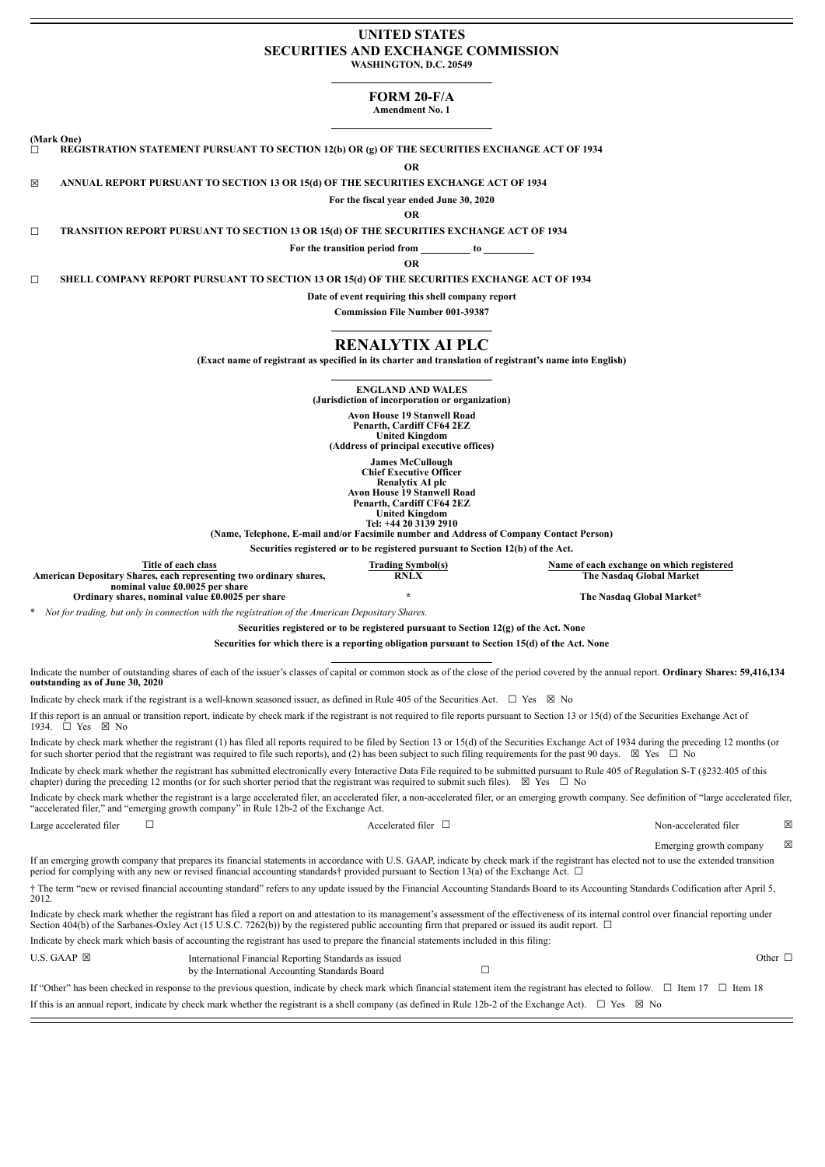#### **UNITED STATES SECURITIES AND EXCHANGE COMMISSION WASHINGTON, D.C. 20549**

# **FORM 20-F/A**

**Amendment No. 1**

**(Mark One)**

☐ **REGISTRATION STATEMENT PURSUANT TO SECTION 12(b) OR (g) OF THE SECURITIES EXCHANGE ACT OF 1934**

**OR**

☒ **ANNUAL REPORT PURSUANT TO SECTION 13 OR 15(d) OF THE SECURITIES EXCHANGE ACT OF 1934**

**For the fiscal year ended June 30, 2020**

**OR**

☐ **TRANSITION REPORT PURSUANT TO SECTION 13 OR 15(d) OF THE SECURITIES EXCHANGE ACT OF 1934**

**For the transition period from to**

**OR**

☐ **SHELL COMPANY REPORT PURSUANT TO SECTION 13 OR 15(d) OF THE SECURITIES EXCHANGE ACT OF 1934**

**Date of event requiring this shell company report**

**Commission File Number 001-39387**

## **RENALYTIX AI PLC**

**(Exact name of registrant as specified in its charter and translation of registrant's name into English)**

**ENGLAND AND WALES**

**(Jurisdiction of incorporation or organization)**

**Avon House 19 Stanwell Road**

**Penarth, Cardiff CF64 2EZ United Kingdom**

**(Address of principal executive offices)**

**James McCullough Chief Executive Officer Renalytix AI plc Avon House 19 Stanwell Road Penarth, Cardiff CF64 2EZ**

**United Kingdom Tel: +44 20 3139 2910**

**(Name, Telephone, E-mail and/or Facsimile number and Address of Company Contact Person)**

**Securities registered or to be registered pursuant to Section 12(b) of the Act.**

| Title of each class                                                | <b>Frading Symbol(s)</b> | Name of each exchange on which registered |
|--------------------------------------------------------------------|--------------------------|-------------------------------------------|
| American Depositary Shares, each representing two ordinary shares, | <b>RNLX</b>              | The Nasdag Global Market                  |
| nominal value £0.0025 per share                                    |                          |                                           |
| Ordinary shares, nominal value £0.0025 per share                   |                          | The Nasdag Global Market*                 |

\* *Not for trading, but only in connection with the registration of the American Depositary Shares.*

**Securities registered or to be registered pursuant to Section 12(g) of the Act. None**

**Securities for which there is a reporting obligation pursuant to Section 15(d) of the Act. None**

Indicate the number of outstanding shares of each of the issuer's classes of capital or common stock as of the close of the period covered by the annual report. **Ordinary Shares: 59,416,134 outstanding as of June 30, 2020**

Indicate by check mark if the registrant is a well-known seasoned issuer, as defined in Rule 405 of the Securities Act.  $\Box$  Yes  $\boxtimes$  No

If this report is an annual or transition report, indicate by check mark if the registrant is not required to file reports pursuant to Section 13 or 15(d) of the Securities Exchange Act of 1934. <del>□</del> Yes ⊠ No

Indicate by check mark whether the registrant (1) has filed all reports required to be filed by Section 13 or 15(d) of the Securities Exchange Act of 1934 during the preceding 12 months (or for such shorter period that the registrant was required to file such reports), and (2) has been subject to such filing requirements for the past 90 days.  $\boxtimes$  Yes  $\Box$  No

Indicate by check mark whether the registrant has submitted electronically every Interactive Data File required to be submitted pursuant to Rule 405 of Regulation S-T (§232.405 of this chapter) during the preceding 12 months (or for such shorter period that the registrant was required to submit such files).  $\boxtimes$  Yes  $\Box$  No

Indicate by check mark whether the registrant is a large accelerated filer, an accelerated filer, and accelerated filer, or an emerging growth company. See definition of "large accelerated filer, "accelerated filer," and "emerging growth company" in Rule 12b-2 of the Exchange Act.

Large accelerated filer □ Accelerated filer □ Non-accelerated filer ⊠

If an emerging growth company that prepares its financial statements in accordance with U.S. GAAP, indicate by check mark if the registrant has elected not to use the extended transition period for complying with any new or revised financial accounting standards† provided pursuant to Section 13(a) of the Exchange Act. □

† The term "new or revised financial accounting standard" refers to any update issued by the Financial Accounting Standards Board to its Accounting Standards Codification after April 5, 2012.

Indicate by check mark whether the registrant has filed a report on and attestation to its management's assessment of the effectiveness of its internal control over financial reporting under Section 404(b) of the Sarbanes-Oxley Act (15 U.S.C. 7262(b)) by the registered public accounting firm that prepared or issued its audit report.  $\Box$ 

Indicate by check mark which basis of accounting the registrant has used to prepare the financial statements included in this filing:

U.S. GAAP ⊠ International Financial Reporting Standards as issued Other □ by the International Accounting Standards Board □

If "Other" has been checked in response to the previous question, indicate by check mark which financial statement item the registrant has elected to follow. ☐ Item 17 ☐ Item 18 If this is an annual report, indicate by check mark whether the registrant is a shell company (as defined in Rule 12b-2 of the Exchange Act).  $\square$  Yes  $\boxtimes$  No

Emerging growth company  $\boxtimes$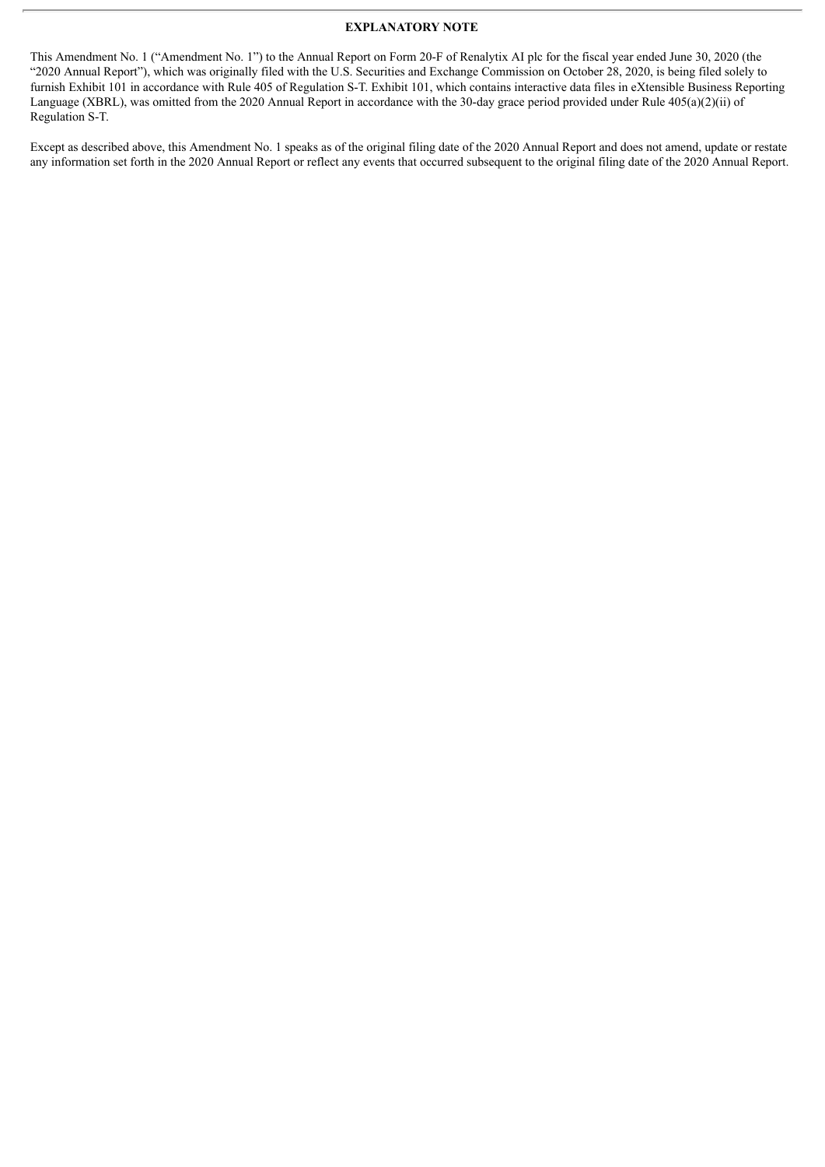#### **EXPLANATORY NOTE**

This Amendment No. 1 ("Amendment No. 1") to the Annual Report on Form 20-F of Renalytix AI plc for the fiscal year ended June 30, 2020 (the "2020 Annual Report"), which was originally filed with the U.S. Securities and Exchange Commission on October 28, 2020, is being filed solely to furnish Exhibit 101 in accordance with Rule 405 of Regulation S-T. Exhibit 101, which contains interactive data files in eXtensible Business Reporting Language (XBRL), was omitted from the 2020 Annual Report in accordance with the 30-day grace period provided under Rule 405(a)(2)(ii) of Regulation S-T.

Except as described above, this Amendment No. 1 speaks as of the original filing date of the 2020 Annual Report and does not amend, update or restate any information set forth in the 2020 Annual Report or reflect any events that occurred subsequent to the original filing date of the 2020 Annual Report.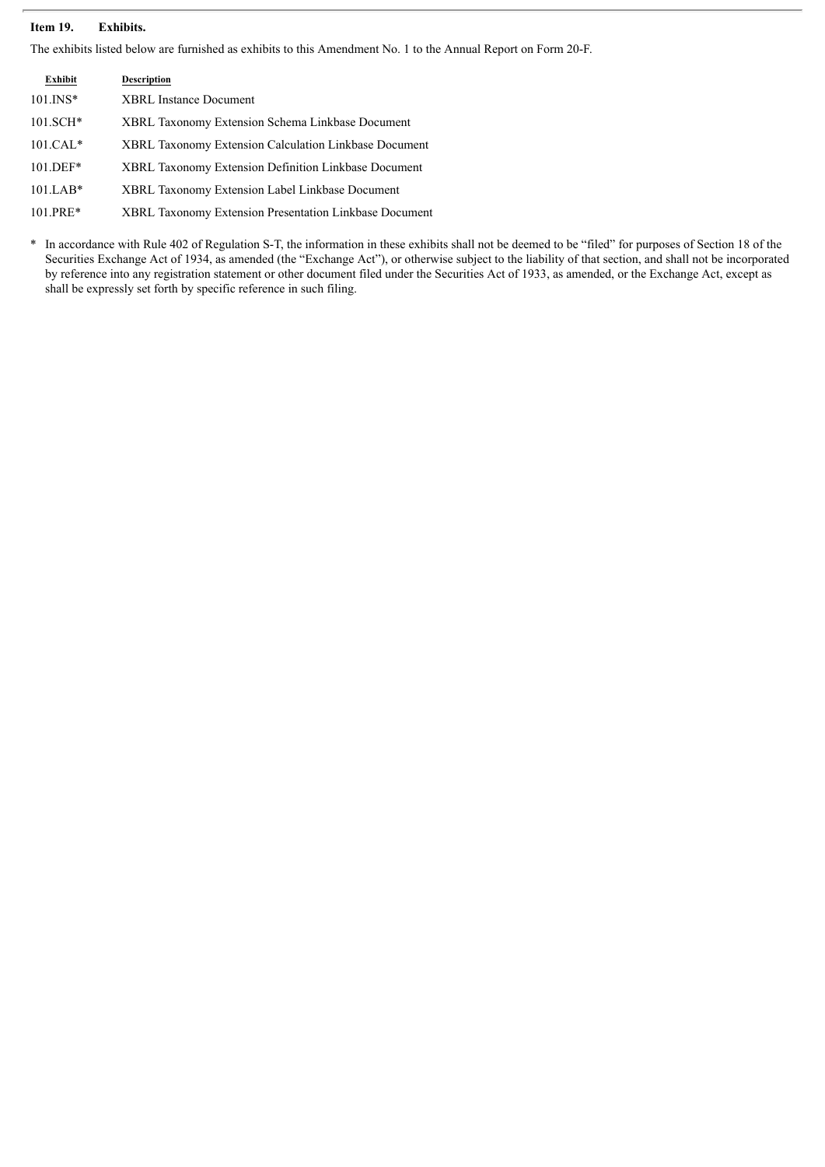### **Item 19. Exhibits.**

The exhibits listed below are furnished as exhibits to this Amendment No. 1 to the Annual Report on Form 20-F.

| Exhibit      | <b>Description</b>                                            |
|--------------|---------------------------------------------------------------|
| $101$ . INS* | <b>XBRL</b> Instance Document                                 |
| $101.SCH*$   | XBRL Taxonomy Extension Schema Linkbase Document              |
| $101.CAL*$   | <b>XBRL Taxonomy Extension Calculation Linkbase Document</b>  |
| $101.DEF*$   | <b>XBRL Taxonomy Extension Definition Linkbase Document</b>   |
| $101.LAB*$   | XBRL Taxonomy Extension Label Linkbase Document               |
| $101.PRE*$   | <b>XBRL Taxonomy Extension Presentation Linkbase Document</b> |

\* In accordance with Rule 402 of Regulation S-T, the information in these exhibits shall not be deemed to be "filed" for purposes of Section 18 of the Securities Exchange Act of 1934, as amended (the "Exchange Act"), or otherwise subject to the liability of that section, and shall not be incorporated by reference into any registration statement or other document filed under the Securities Act of 1933, as amended, or the Exchange Act, except as shall be expressly set forth by specific reference in such filing.